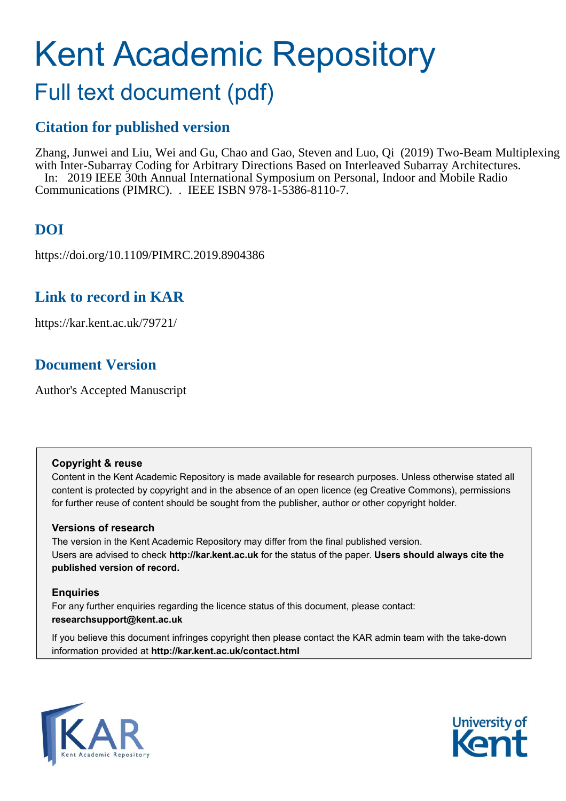# Kent Academic Repository

# Full text document (pdf)

## **Citation for published version**

Zhang, Junwei and Liu, Wei and Gu, Chao and Gao, Steven and Luo, Qi (2019) Two-Beam Multiplexing with Inter-Subarray Coding for Arbitrary Directions Based on Interleaved Subarray Architectures. In: 2019 IEEE 30th Annual International Symposium on Personal, Indoor and Mobile Radio Communications (PIMRC). . IEEE ISBN 978-1-5386-8110-7.

# **DOI**

https://doi.org/10.1109/PIMRC.2019.8904386

### **Link to record in KAR**

https://kar.kent.ac.uk/79721/

# **Document Version**

Author's Accepted Manuscript

#### **Copyright & reuse**

Content in the Kent Academic Repository is made available for research purposes. Unless otherwise stated all content is protected by copyright and in the absence of an open licence (eg Creative Commons), permissions for further reuse of content should be sought from the publisher, author or other copyright holder.

#### **Versions of research**

The version in the Kent Academic Repository may differ from the final published version. Users are advised to check **http://kar.kent.ac.uk** for the status of the paper. **Users should always cite the published version of record.**

#### **Enquiries**

For any further enquiries regarding the licence status of this document, please contact: **researchsupport@kent.ac.uk**

If you believe this document infringes copyright then please contact the KAR admin team with the take-down information provided at **http://kar.kent.ac.uk/contact.html**



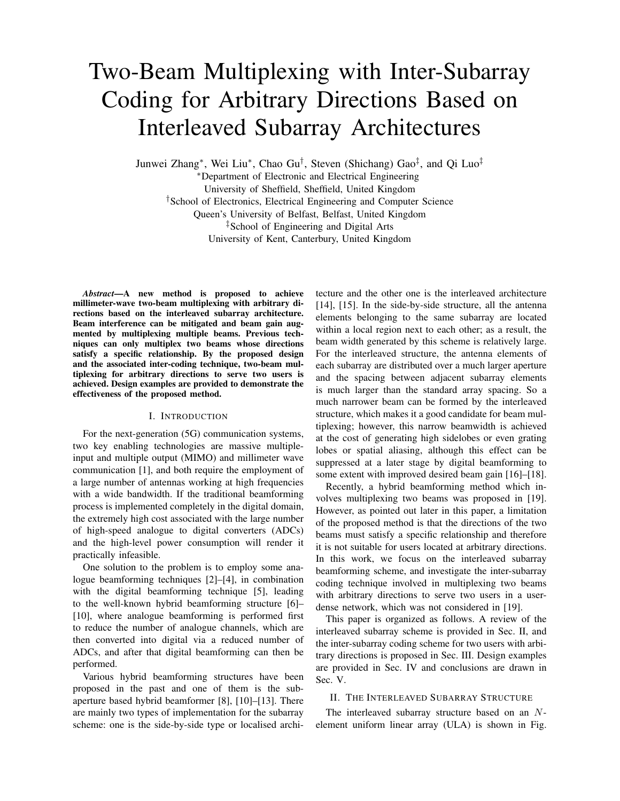# Two-Beam Multiplexing with Inter-Subarray Coding for Arbitrary Directions Based on Interleaved Subarray Architectures

Junwei Zhang<sup>∗</sup> , Wei Liu<sup>∗</sup> , Chao Gu† , Steven (Shichang) Gao‡ , and Qi Luo‡

<sup>∗</sup>Department of Electronic and Electrical Engineering

University of Sheffield, Sheffield, United Kingdom

†School of Electronics, Electrical Engineering and Computer Science

Queen's University of Belfast, Belfast, United Kingdom

‡School of Engineering and Digital Arts

University of Kent, Canterbury, United Kingdom

*Abstract*—A new method is proposed to achieve millimeter-wave two-beam multiplexing with arbitrary directions based on the interleaved subarray architecture. Beam interference can be mitigated and beam gain augmented by multiplexing multiple beams. Previous techniques can only multiplex two beams whose directions satisfy a specific relationship. By the proposed design and the associated inter-coding technique, two-beam multiplexing for arbitrary directions to serve two users is achieved. Design examples are provided to demonstrate the effectiveness of the proposed method.

#### I. INTRODUCTION

For the next-generation (5G) communication systems, two key enabling technologies are massive multipleinput and multiple output (MIMO) and millimeter wave communication [1], and both require the employment of a large number of antennas working at high frequencies with a wide bandwidth. If the traditional beamforming process is implemented completely in the digital domain, the extremely high cost associated with the large number of high-speed analogue to digital converters (ADCs) and the high-level power consumption will render it practically infeasible.

One solution to the problem is to employ some analogue beamforming techniques [2]–[4], in combination with the digital beamforming technique [5], leading to the well-known hybrid beamforming structure [6]– [10], where analogue beamforming is performed first to reduce the number of analogue channels, which are then converted into digital via a reduced number of ADCs, and after that digital beamforming can then be performed.

Various hybrid beamforming structures have been proposed in the past and one of them is the subaperture based hybrid beamformer [8], [10]–[13]. There are mainly two types of implementation for the subarray scheme: one is the side-by-side type or localised architecture and the other one is the interleaved architecture [14], [15]. In the side-by-side structure, all the antenna elements belonging to the same subarray are located within a local region next to each other; as a result, the beam width generated by this scheme is relatively large. For the interleaved structure, the antenna elements of each subarray are distributed over a much larger aperture and the spacing between adjacent subarray elements is much larger than the standard array spacing. So a much narrower beam can be formed by the interleaved structure, which makes it a good candidate for beam multiplexing; however, this narrow beamwidth is achieved at the cost of generating high sidelobes or even grating lobes or spatial aliasing, although this effect can be suppressed at a later stage by digital beamforming to some extent with improved desired beam gain [16]–[18].

Recently, a hybrid beamforming method which involves multiplexing two beams was proposed in [19]. However, as pointed out later in this paper, a limitation of the proposed method is that the directions of the two beams must satisfy a specific relationship and therefore it is not suitable for users located at arbitrary directions. In this work, we focus on the interleaved subarray beamforming scheme, and investigate the inter-subarray coding technique involved in multiplexing two beams with arbitrary directions to serve two users in a userdense network, which was not considered in [19].

This paper is organized as follows. A review of the interleaved subarray scheme is provided in Sec. II, and the inter-subarray coding scheme for two users with arbitrary directions is proposed in Sec. III. Design examples are provided in Sec. IV and conclusions are drawn in Sec. V.

#### II. THE INTERLEAVED SUBARRAY STRUCTURE

The interleaved subarray structure based on an Nelement uniform linear array (ULA) is shown in Fig.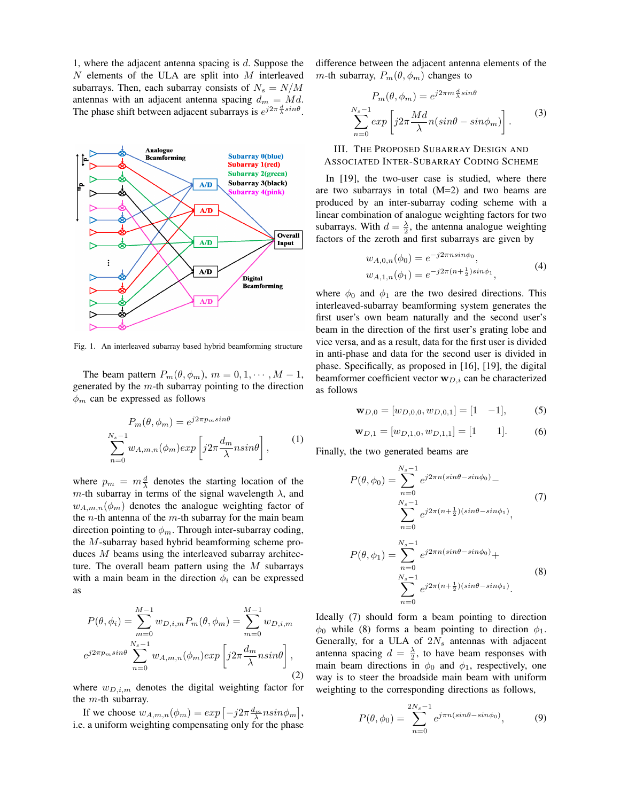1, where the adjacent antenna spacing is  $d$ . Suppose the N elements of the ULA are split into M interleaved subarrays. Then, each subarray consists of  $N_s = N/M$ antennas with an adjacent antenna spacing  $d_m = Md$ . The phase shift between adjacent subarrays is  $e^{j2\pi \frac{d}{\lambda} sin\theta}$ .



Fig. 1. An interleaved subarray based hybrid beamforming structure

The beam pattern  $P_m(\theta, \phi_m)$ ,  $m = 0, 1, \dots, M - 1$ , generated by the  $m$ -th subarray pointing to the direction  $\phi_m$  can be expressed as follows

$$
P_m(\theta, \phi_m) = e^{j2\pi p_m sin\theta}
$$
  

$$
\sum_{n=0}^{N_s-1} w_{A,m,n}(\phi_m) exp\left[j2\pi \frac{d_m}{\lambda} n sin\theta\right],
$$
 (1)

where  $p_m = m \frac{d}{\lambda}$  denotes the starting location of the m-th subarray in terms of the signal wavelength  $\lambda$ , and  $w_{A,m,n}(\phi_m)$  denotes the analogue weighting factor of the  $n$ -th antenna of the  $m$ -th subarray for the main beam direction pointing to  $\phi_m$ . Through inter-subarray coding, the M-subarray based hybrid beamforming scheme produces M beams using the interleaved subarray architecture. The overall beam pattern using the  $M$  subarrays with a main beam in the direction  $\phi_i$  can be expressed as

$$
P(\theta, \phi_i) = \sum_{m=0}^{M-1} w_{D,i,m} P_m(\theta, \phi_m) = \sum_{m=0}^{M-1} w_{D,i,m}
$$
  

$$
e^{j2\pi p_m sin\theta} \sum_{n=0}^{N_s-1} w_{A,m,n}(\phi_m) exp\left[j2\pi \frac{d_m}{\lambda} n sin\theta\right],
$$
 (2)

where  $w_{D,i,m}$  denotes the digital weighting factor for the  $m$ -th subarray.

If we choose  $w_{A,m,n}(\phi_m) = exp \left[ -j2\pi \frac{d_m}{\lambda} n sin \phi_m \right],$ i.e. a uniform weighting compensating only for the phase

difference between the adjacent antenna elements of the m-th subarray,  $P_m(\theta, \phi_m)$  changes to

$$
P_m(\theta, \phi_m) = e^{j2\pi m \frac{d}{\lambda} sin\theta}
$$
  

$$
\sum_{n=0}^{N_s - 1} exp\left[j2\pi \frac{Md}{\lambda} n(sin\theta - sin\phi_m)\right].
$$
 (3)

#### III. THE PROPOSED SUBARRAY DESIGN AND ASSOCIATED INTER-SUBARRAY CODING SCHEME

In [19], the two-user case is studied, where there are two subarrays in total  $(M=2)$  and two beams are produced by an inter-subarray coding scheme with a linear combination of analogue weighting factors for two subarrays. With  $d = \frac{\lambda}{2}$ , the antenna analogue weighting factors of the zeroth and first subarrays are given by

$$
w_{A,0,n}(\phi_0) = e^{-j2\pi n \sin \phi_0},
$$
  
\n
$$
w_{A,1,n}(\phi_1) = e^{-j2\pi (n + \frac{1}{2})\sin \phi_1},
$$
\n(4)

where  $\phi_0$  and  $\phi_1$  are the two desired directions. This interleaved-subarray beamforming system generates the first user's own beam naturally and the second user's beam in the direction of the first user's grating lobe and vice versa, and as a result, data for the first user is divided in anti-phase and data for the second user is divided in phase. Specifically, as proposed in [16], [19], the digital beamformer coefficient vector  $w_{D,i}$  can be characterized as follows

$$
\mathbf{w}_{D,0} = [w_{D,0,0}, w_{D,0,1}] = [1 \quad -1],\tag{5}
$$

$$
\mathbf{w}_{D,1} = [w_{D,1,0}, w_{D,1,1}] = [1 \qquad 1]. \tag{6}
$$

Finally, the two generated beams are

$$
P(\theta, \phi_0) = \sum_{n=0}^{N_s - 1} e^{j2\pi n(\sin\theta - \sin\phi_0)} - \sum_{n=0}^{N_s - 1} e^{j2\pi (n + \frac{1}{2})(\sin\theta - \sin\phi_1)},
$$
\n
$$
P(\theta, \phi_1) = \sum_{n=0}^{N_s - 1} e^{j2\pi n(\sin\theta - \sin\phi_0)} + \sum_{n=0}^{N_s - 1} e^{j2\pi (n + \frac{1}{2})(\sin\theta - \sin\phi_1)}.
$$
\n(8)

Ideally (7) should form a beam pointing to direction  $\phi_0$  while (8) forms a beam pointing to direction  $\phi_1$ . Generally, for a ULA of  $2N<sub>s</sub>$  antennas with adjacent antenna spacing  $d = \frac{\lambda}{2}$ , to have beam responses with main beam directions in  $\phi_0$  and  $\phi_1$ , respectively, one way is to steer the broadside main beam with uniform weighting to the corresponding directions as follows,

$$
P(\theta, \phi_0) = \sum_{n=0}^{2N_s - 1} e^{j\pi n(\sin\theta - \sin\phi_0)},
$$
 (9)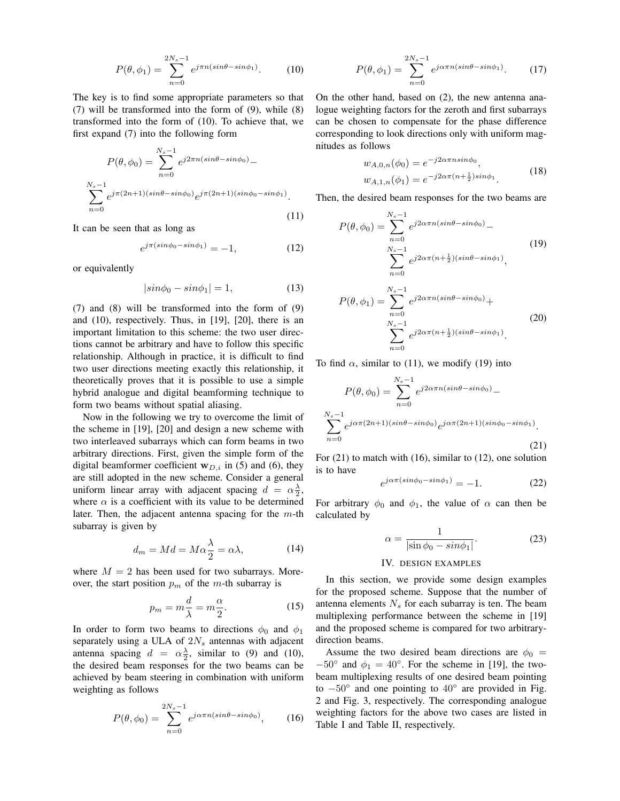$$
P(\theta, \phi_1) = \sum_{n=0}^{2N_s - 1} e^{j\pi n(\sin \theta - \sin \phi_1)}.
$$
 (10)

The key is to find some appropriate parameters so that (7) will be transformed into the form of (9), while (8) transformed into the form of (10). To achieve that, we first expand (7) into the following form

$$
P(\theta, \phi_0) = \sum_{n=0}^{N_s - 1} e^{j2\pi n(\sin\theta - \sin\phi_0)} -
$$
  

$$
\sum_{n=0}^{N_s - 1} e^{j\pi (2n+1)(\sin\theta - \sin\phi_0)} e^{j\pi (2n+1)(\sin\phi_0 - \sin\phi_1)}.
$$
 (11)

It can be seen that as long as

$$
e^{j\pi(\sin\phi_0 - \sin\phi_1)} = -1,\tag{12}
$$

or equivalently

$$
|\sin\phi_0 - \sin\phi_1| = 1,\tag{13}
$$

(7) and (8) will be transformed into the form of (9) and (10), respectively. Thus, in [19], [20], there is an important limitation to this scheme: the two user directions cannot be arbitrary and have to follow this specific relationship. Although in practice, it is difficult to find two user directions meeting exactly this relationship, it theoretically proves that it is possible to use a simple hybrid analogue and digital beamforming technique to form two beams without spatial aliasing.

Now in the following we try to overcome the limit of the scheme in [19], [20] and design a new scheme with two interleaved subarrays which can form beams in two arbitrary directions. First, given the simple form of the digital beamformer coefficient  $w_{D,i}$  in (5) and (6), they are still adopted in the new scheme. Consider a general uniform linear array with adjacent spacing  $d = \alpha \frac{\lambda}{2}$ , where  $\alpha$  is a coefficient with its value to be determined later. Then, the adjacent antenna spacing for the  $m$ -th subarray is given by

$$
d_m = Md = M\alpha \frac{\lambda}{2} = \alpha \lambda, \qquad (14)
$$

where  $M = 2$  has been used for two subarrays. Moreover, the start position  $p_m$  of the m-th subarray is

$$
p_m = m\frac{d}{\lambda} = m\frac{\alpha}{2}.
$$
 (15)

In order to form two beams to directions  $\phi_0$  and  $\phi_1$ separately using a ULA of  $2N_s$  antennas with adjacent antenna spacing  $d = \alpha \frac{\lambda}{2}$ , similar to (9) and (10), the desired beam responses for the two beams can be achieved by beam steering in combination with uniform weighting as follows

$$
P(\theta, \phi_0) = \sum_{n=0}^{2N_s - 1} e^{j\alpha \pi n (\sin \theta - \sin \phi_0)},
$$
 (16)

$$
P(\theta, \phi_1) = \sum_{n=0}^{2N_s - 1} e^{j\alpha \pi n (\sin \theta - \sin \phi_1)}.
$$
 (17)

On the other hand, based on (2), the new antenna analogue weighting factors for the zeroth and first subarrays can be chosen to compensate for the phase difference corresponding to look directions only with uniform magnitudes as follows

$$
w_{A,0,n}(\phi_0) = e^{-j2\alpha\pi n sin\phi_0},
$$
  
\n
$$
w_{A,1,n}(\phi_1) = e^{-j2\alpha\pi(n+\frac{1}{2})sin\phi_1}.
$$
\n(18)

Then, the desired beam responses for the two beams are

$$
P(\theta, \phi_0) = \sum_{n=0}^{N_s - 1} e^{j2\alpha \pi n (\sin \theta - \sin \phi_0)} - \sum_{n=0}^{N_s - 1} e^{j2\alpha \pi (n + \frac{1}{2})(\sin \theta - \sin \phi_1)},
$$
\n
$$
P(\theta, \phi_1) = \sum_{n=0}^{N_s - 1} e^{j2\alpha \pi n (\sin \theta - \sin \phi_0)} + \sum_{n=0}^{N_s - 1} e^{j2\alpha \pi (n + \frac{1}{2})(\sin \theta - \sin \phi_1)}.
$$
\n(20)

To find  $\alpha$ , similar to (11), we modify (19) into

$$
P(\theta, \phi_0) = \sum_{n=0}^{N_s - 1} e^{j2\alpha \pi n (\sin \theta - \sin \phi_0)} -
$$

$$
\sum_{n=0}^{N_s - 1} e^{j\alpha \pi (2n+1)(\sin \theta - \sin \phi_0)} e^{j\alpha \pi (2n+1)(\sin \phi_0 - \sin \phi_1)}.
$$
(21)

For (21) to match with (16), similar to (12), one solution is to have

$$
e^{j\alpha\pi(\sin\phi_0 - \sin\phi_1)} = -1.
$$
 (22)

For arbitrary  $\phi_0$  and  $\phi_1$ , the value of  $\alpha$  can then be calculated by

$$
\alpha = \frac{1}{|\sin \phi_0 - \sin \phi_1|}.
$$
\n(23)

#### IV. DESIGN EXAMPLES

In this section, we provide some design examples for the proposed scheme. Suppose that the number of antenna elements  $N<sub>s</sub>$  for each subarray is ten. The beam multiplexing performance between the scheme in [19] and the proposed scheme is compared for two arbitrarydirection beams.

Assume the two desired beam directions are  $\phi_0 =$  $-50^\circ$  and  $\phi_1 = 40^\circ$ . For the scheme in [19], the twobeam multiplexing results of one desired beam pointing to  $-50^\circ$  and one pointing to  $40^\circ$  are provided in Fig. 2 and Fig. 3, respectively. The corresponding analogue weighting factors for the above two cases are listed in Table I and Table II, respectively.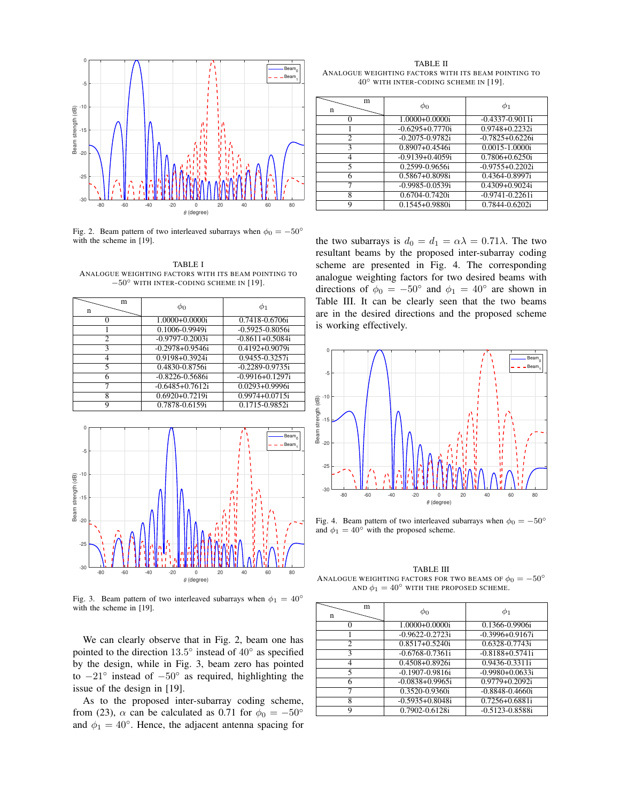

Fig. 2. Beam pattern of two interleaved subarrays when  $\phi_0 = -50^\circ$ with the scheme in [19].

TABLE I ANALOGUE WEIGHTING FACTORS WITH ITS BEAM POINTING TO −50◦ WITH INTER-CODING SCHEME IN [19].

| m<br>n | Φo                   |                     |
|--------|----------------------|---------------------|
|        | 1.0000+0.0000i       | 0.7418-0.6706i      |
|        | 0.1006-0.9949i       | $-0.5925 - 0.8056i$ |
| 2      | $-0.9797 - 0.2003i$  | $-0.8611 + 0.5084i$ |
| ٩      | $-0.2978 + 0.9546$ i | $0.4192 + 0.9079i$  |
|        | 0.9198+0.3924i       | 0.9455-0.3257i      |
| 5      | 0.4830-0.8756i       | $-0.2289 - 0.9735i$ |
|        | $-0.8226 - 0.5686i$  | $-0.9916 + 0.1297i$ |
|        | $-0.6485 + 0.7612i$  | $0.0293 + 0.9996i$  |
| 8      | $0.6920 + 0.7219$ i  | $0.9974 + 0.0715i$  |
| a      | 0.7878-0.6159i       | 0.1715-0.9852i      |



Fig. 3. Beam pattern of two interleaved subarrays when  $\phi_1 = 40^\circ$ with the scheme in [19].

We can clearly observe that in Fig. 2, beam one has pointed to the direction  $13.5^{\circ}$  instead of  $40^{\circ}$  as specified by the design, while in Fig. 3, beam zero has pointed to  $-21^\circ$  instead of  $-50^\circ$  as required, highlighting the issue of the design in [19].

As to the proposed inter-subarray coding scheme, from (23),  $\alpha$  can be calculated as 0.71 for  $\phi_0 = -50^\circ$ and  $\phi_1 = 40^\circ$ . Hence, the adjacent antenna spacing for

TABLE II ANALOGUE WEIGHTING FACTORS WITH ITS BEAM POINTING TO 40◦ WITH INTER-CODING SCHEME IN [19].

| m<br>n         | $\phi_0$            | Φ1                  |
|----------------|---------------------|---------------------|
|                | 1.0000+0.0000i      | $-0.4337 - 0.9011i$ |
|                | $-0.6295 + 0.7770i$ | $0.9748 + 0.2232i$  |
| $\overline{c}$ | $-0.2075 - 0.9782i$ | $-0.7825 + 0.6226i$ |
| 3              | $0.8907 + 0.4546i$  | 0.0015-1.0000i      |
| 4              | $-0.9139 + 0.4059i$ | $0.7806 + 0.6250i$  |
| 5              | 0.2599-0.9656i      | $-0.9755 + 0.2202i$ |
| 6              | $0.5867 + 0.8098i$  | 0.4364-0.8997i      |
| 7              | $-0.9985 - 0.0539i$ | $0.4309 + 0.9024i$  |
| 8              | 0.6704-0.7420i      | $-0.9741 - 0.2261i$ |
| Q              | $0.1545 + 0.9880i$  | 0.7844-0.6202i      |

the two subarrays is  $d_0 = d_1 = \alpha \lambda = 0.71 \lambda$ . The two resultant beams by the proposed inter-subarray coding scheme are presented in Fig. 4. The corresponding analogue weighting factors for two desired beams with directions of  $\phi_0 = -50^\circ$  and  $\phi_1 = 40^\circ$  are shown in Table III. It can be clearly seen that the two beams are in the desired directions and the proposed scheme is working effectively.



Fig. 4. Beam pattern of two interleaved subarrays when  $\phi_0 = -50^\circ$ and  $\phi_1 = 40^\circ$  with the proposed scheme.

TABLE III ANALOGUE WEIGHTING FACTORS FOR TWO BEAMS OF  $\phi_0 = -50^{\circ}$ AND  $\phi_1 = 40^\circ$  with the proposed scheme.

| m<br>n         | $\phi_0$             |                     |
|----------------|----------------------|---------------------|
|                | 1.0000+0.0000i       | 0.1366-0.9906i      |
|                | $-0.9622 - 0.2723i$  | $-0.3996 + 0.9167i$ |
| $\overline{c}$ | $0.8517 + 0.5240i$   | $0.6328 - 0.7743i$  |
| 3              | $-0.6768 - 0.7361i$  | $-0.8188 + 0.5741i$ |
| Λ              | $0.4508 + 0.8926$ i  | 0.9436-0.3311i      |
| 5              | $-0.1907 - 0.9816$ i | $-0.9980+0.0633i$   |
| h              | $-0.0838 + 0.9965i$  | $0.9779 + 0.2092i$  |
|                | 0.3520-0.9360i       | $-0.8848 - 0.4660i$ |
| 8              | $-0.5935+0.8048i$    | 0.7256+0.6881i      |
|                | 0.7902-0.6128i       | $-0.5123 - 0.8588i$ |